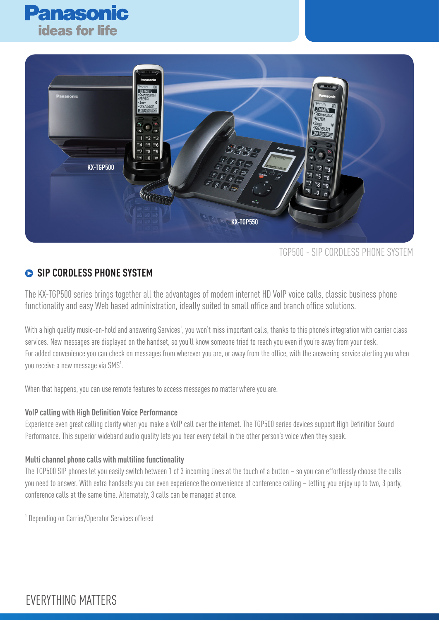



```
TGP500 - SIP CORDLESS PHONE SYSTEM
```
## **SIP CORDLESS PHONE SYSTEM**

The KX-TGP500 series brings together all the advantages of modern internet HD VoIP voice calls, classic business phone functionality and easy Web based administration, ideally suited to small office and branch office solutions.

With a high quality music-on-hold and answering Services<sup>1</sup>, you won't miss important calls, thanks to this phone's integration with carrier class services. New messages are displayed on the handset, so you'll know someone tried to reach you even if you're away from your desk. For added convenience you can check on messages from wherever you are, or away from the office, with the answering service alerting you when you receive a new message via SMS<sup>1</sup>. .

When that happens, you can use remote features to access messages no matter where you are.

#### **VoIP calling with High Definition Voice Performance**

Experience even great calling clarity when you make a VoIP call over the internet. The TGP500 series devices support High Definition Sound Performance. This superior wideband audio quality lets you hear every detail in the other person's voice when they speak.

#### **Multi channel phone calls with multiline functionality**

The TGP500 SIP phones let you easily switch between 1 of 3 incoming lines at the touch of a button – so you can effortlessly choose the calls you need to answer. With extra handsets you can even experience the convenience of conference calling – letting you enjoy up to two, 3 party, conference calls at the same time. Alternately, 3 calls can be managed at once.

<sup>1</sup> Depending on Carrier/Operator Services offered

# EVERYTHING MATTERS